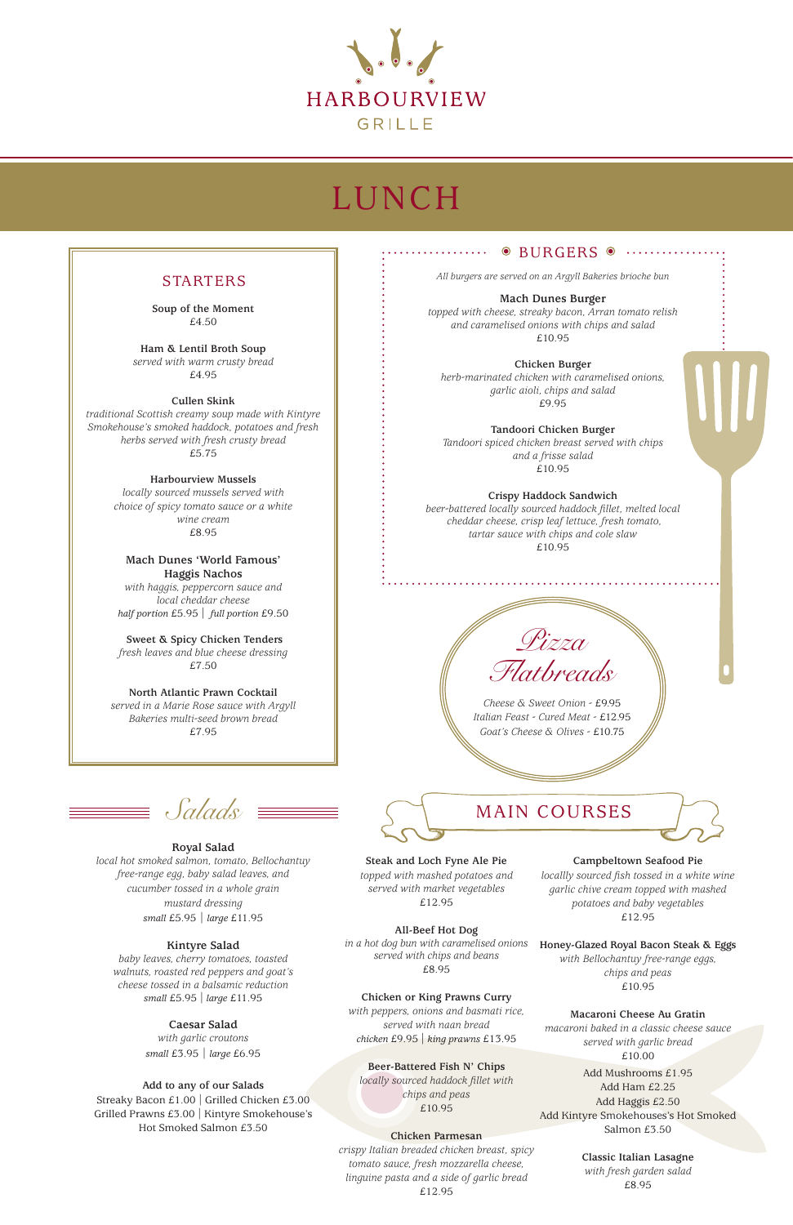**Soup of the Moment** £4.50

**Ham & Lentil Broth Soup**  *served with warm crusty bread* £4.95

**Cullen Skink** 

*traditional Scottish creamy soup made with Kintyre Smokehouse's smoked haddock, potatoes and fresh herbs served with fresh crusty bread* £5.75

**Harbourview Mussels** 

*locally sourced mussels served with choice of spicy tomato sauce or a white wine cream*  £8.95

**Mach Dunes 'World Famous' Haggis Nachos**

*with haggis, peppercorn sauce and local cheddar cheese half portion* £5.95 | *full portion* £9.50

**Sweet & Spicy Chicken Tenders** *fresh leaves and blue cheese dressing* £7.50

**North Atlantic Prawn Cocktail**  *served in a Marie Rose sauce with Argyll Bakeries multi-seed brown bread* £7.95



# LUNCH

### .......... . BURGERS .

### STARTERS



**Steak and Loch Fyne Ale Pie** *topped with mashed potatoes and served with market vegetables*

£12.95

**All-Beef Hot Dog** *in a hot dog bun with caramelised onions served with chips and beans* £8.95

**Chicken or King Prawns Curry** *with peppers, onions and basmati rice, served with naan bread chicken* £9.95 | *king prawns* £13.95

**Beer-Battered Fish N' Chips** *locally sourced haddock fillet with chips and peas* £10.95

### **Chicken Parmesan**

*crispy Italian breaded chicken breast, spicy tomato sauce, fresh mozzarella cheese, linguine pasta and a side of garlic bread* £12.95

**Campbeltown Seafood Pie** *locallly sourced fish tossed in a white wine garlic chive cream topped with mashed* 

> *potatoes and baby vegetables* £12.95

**Honey-Glazed Royal Bacon Steak & Eggs**  *with Bellochantuy free-range eggs, chips and peas* £10.95

### **Macaroni Cheese Au Gratin**

*macaroni baked in a classic cheese sauce served with garlic bread* £10.00

Add Mushrooms £1.95 Add Ham £2.25 Add Haggis £2.50 Add Kintyre Smokehouses's Hot Smoked Salmon £3.50

> **Classic Italian Lasagne** *with fresh garden salad* £8.95

**Royal Salad** *local hot smoked salmon, tomato, Bellochantuy free-range egg, baby salad leaves, and cucumber tossed in a whole grain mustard dressing small* £5.95 | *large* £11.95

### **Kintyre Salad**

*baby leaves, cherry tomatoes, toasted walnuts, roasted red peppers and goat's cheese tossed in a balsamic reduction small* £5.95 *| large* £11.95

> **Caesar Salad** *with garlic croutons small* £3.95 | *large* £6.95

### **Add to any of our Salads**

Streaky Bacon £1.00 | Grilled Chicken £3.00 Grilled Prawns £3.00 | Kintyre Smokehouse's Hot Smoked Salmon £3.50

*All burgers are served on an Argyll Bakeries brioche bun*

**Mach Dunes Burger**  *topped with cheese, streaky bacon, Arran tomato relish and caramelised onions with chips and salad* £10.95

**Chicken Burger** *herb-marinated chicken with caramelised onions, garlic aioli, chips and salad* £9.95

**Tandoori Chicken Burger**  *Tandoori spiced chicken breast served with chips and a frisse salad* £10.95

**Crispy Haddock Sandwich**  *beer-battered locally sourced haddock fillet, melted local cheddar cheese, crisp leaf lettuce, fresh tomato, tartar sauce with chips and cole slaw*

£10.95

*Cheese & Sweet Onion -* £9.95 *Italian Feast - Cured Meat -* £12.95 *Goat's Cheese & Olives -* £10.75

## $Saldas \equiv \equiv \equiv \Box$  MAIN COURSES